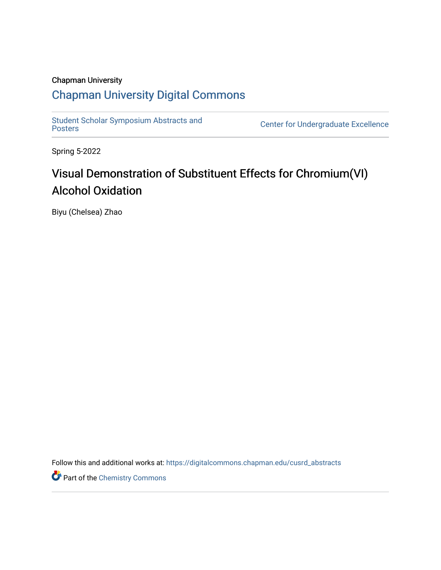### Chapman University

## [Chapman University Digital Commons](https://digitalcommons.chapman.edu/)

Student Scholar Symposium Abstracts and<br>Posters

Center for Undergraduate Excellence

Spring 5-2022

## Visual Demonstration of Substituent Effects for Chromium(VI) Alcohol Oxidation

Biyu (Chelsea) Zhao

Follow this and additional works at: [https://digitalcommons.chapman.edu/cusrd\\_abstracts](https://digitalcommons.chapman.edu/cusrd_abstracts?utm_source=digitalcommons.chapman.edu%2Fcusrd_abstracts%2F520&utm_medium=PDF&utm_campaign=PDFCoverPages) 

Part of the [Chemistry Commons](http://network.bepress.com/hgg/discipline/131?utm_source=digitalcommons.chapman.edu%2Fcusrd_abstracts%2F520&utm_medium=PDF&utm_campaign=PDFCoverPages)